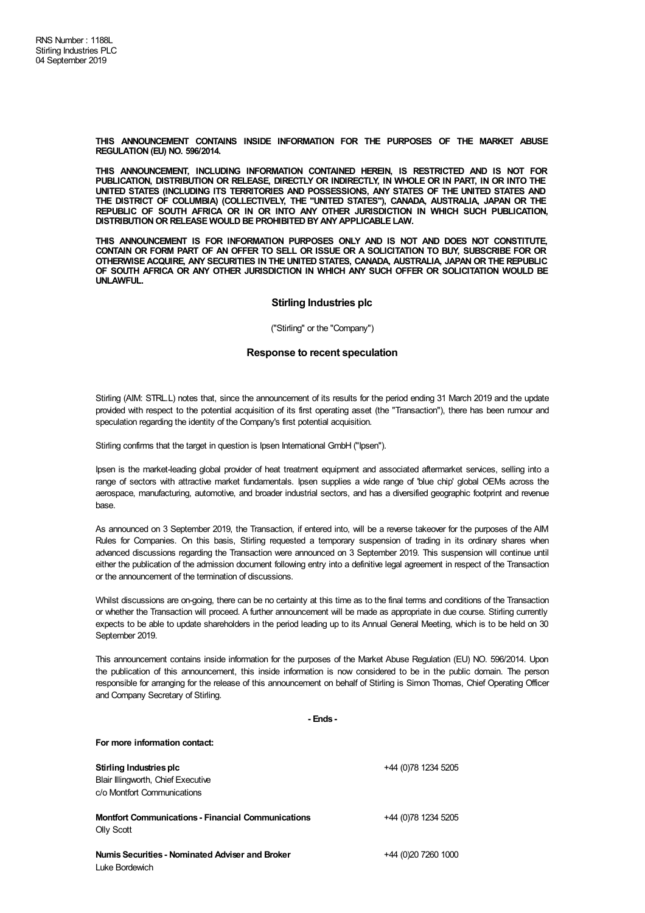**THIS ANNOUNCEMENT CONTAINS INSIDE INFORMATION FOR THE PURPOSES OF THE MARKET ABUSE REGULATION (EU) NO. 596/2014.**

**THIS ANNOUNCEMENT, INCLUDING INFORMATION CONTAINED HEREIN, IS RESTRICTED AND IS NOT FOR PUBLICATION, DISTRIBUTION OR RELEASE, DIRECTLY OR INDIRECTLY, IN WHOLE OR IN PART, IN OR INTO THE UNITED STATES (INCLUDING ITS TERRITORIES AND POSSESSIONS, ANY STATES OF THE UNITED STATES AND THE DISTRICT OF COLUMBIA) (COLLECTIVELY, THE "UNITED STATES"), CANADA, AUSTRALIA, JAPAN OR THE REPUBLIC OF SOUTH AFRICA OR IN OR INTO ANY OTHER JURISDICTION IN WHICH SUCH PUBLICATION, DISTRIBUTIONOR RELEASE WOULD BE PROHIBITED BYANYAPPLICABLE LAW.**

**THIS ANNOUNCEMENT IS FOR INFORMATION PURPOSES ONLY AND IS NOT AND DOES NOT CONSTITUTE,** CONTAIN OR FORM PART OF AN OFFER TO SELL OR ISSUE OR A SOLICITATION TO BUY, SUBSCRIBE FOR OR **OTHERWISE ACQUIRE, ANY SECURITIES IN THE UNITED STATES, CANADA, AUSTRALIA, JAPAN OR THE REPUBLIC OF SOUTH AFRICA OR ANY OTHER JURISDICTION IN WHICH ANY SUCH OFFER OR SOLICITATION WOULD BE UNLAWFUL.**

## **Stirling Industries plc**

("Stirling" or the "Company")

## **Response to recent speculation**

Stirling (AIM: STRL.L) notes that, since the announcement of its results for the period ending 31 March 2019 and the update provided with respect to the potential acquisition of its first operating asset (the "Transaction"), there has been rumour and speculation regarding the identity of the Company's first potential acquisition.

Stirling confirms that the target in question is Ipsen International GmbH ("Ipsen").

Ipsen is the market-leading global provider of heat treatment equipment and associated aftermarket services, selling into a range of sectors with attractive market fundamentals. Ipsen supplies a wide range of 'blue chip' global OEMs across the aerospace, manufacturing, automotive, and broader industrial sectors, and has a diversified geographic footprint and revenue base.

As announced on 3 September 2019, the Transaction, if entered into, will be a reverse takeover for the purposes of the AIM Rules for Companies. On this basis, Stirling requested a temporary suspension of trading in its ordinary shares when advanced discussions regarding the Transaction were announced on 3 September 2019. This suspension will continue until either the publication of the admission document following entry into a definitive legal agreement in respect of the Transaction or the announcement of the termination of discussions.

Whilst discussions are on-going, there can be no certainty at this time as to the final terms and conditions of the Transaction or whether the Transaction will proceed. A further announcement will be made as appropriate in due course. Stirling currently expects to be able to update shareholders in the period leading up to its Annual General Meeting, which is to be held on 30 September 2019.

This announcement contains inside information for the purposes of the Market Abuse Regulation (EU) NO. 596/2014. Upon the publication of this announcement, this inside information is now considered to be in the public domain. The person responsible for arranging for the release of this announcement on behalf of Stirling is Simon Thomas, Chief Operating Officer and Company Secretary of Stirling.

**- Ends -**

**For more information contact:**

**Stirling Industries plc** Blair Illingworth, Chief Executive c/o Montfort Communications +44 (0)78 1234 5205 **Montfort Communications - Financial Communications** Olly Scott +44 (0)78 1234 5205 **NumisSecurities - Nominated Adviser and Broker** Luke Bordewich +44 (0)20 7260 1000